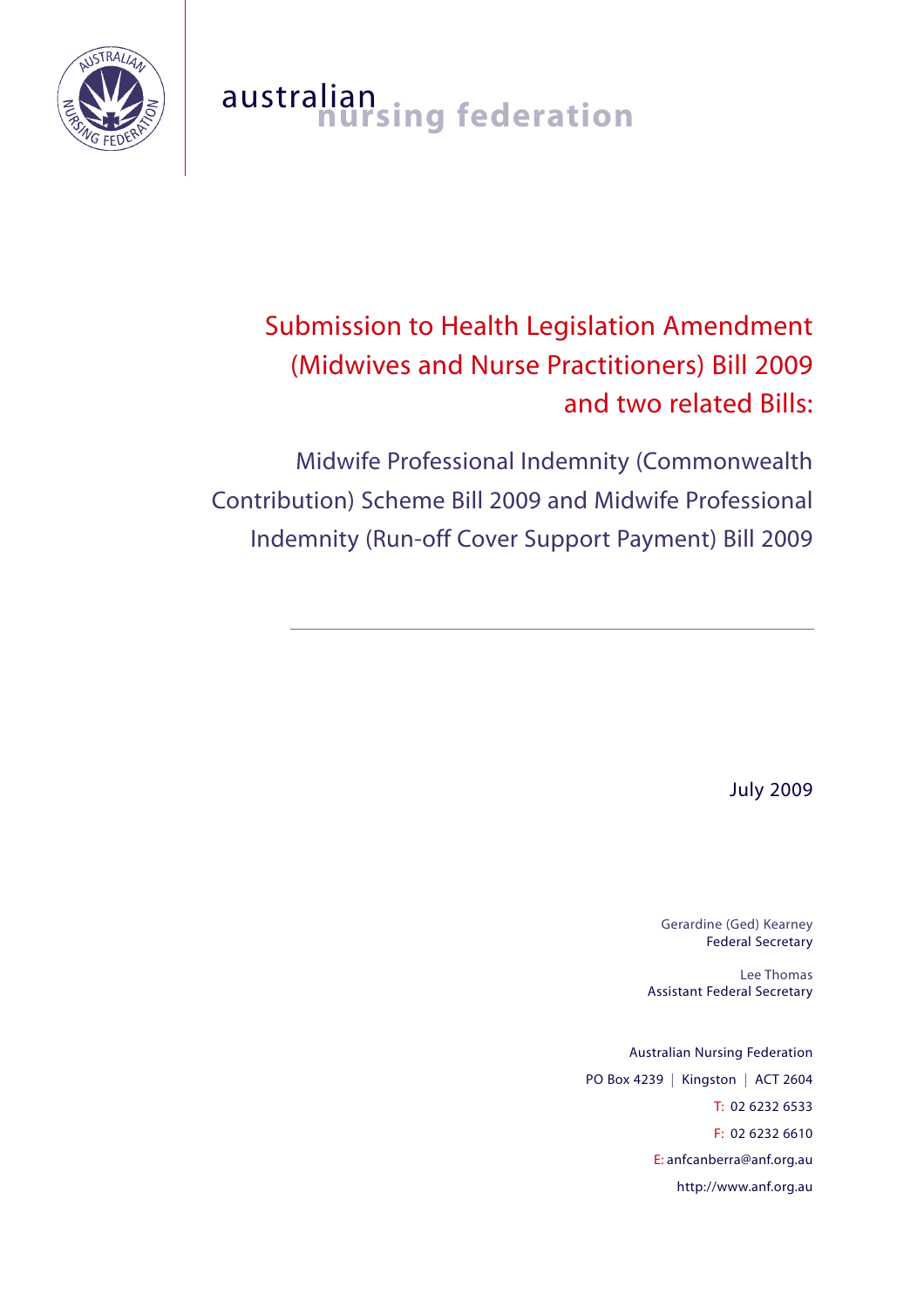

# australian<br>**nursing federation**

# Submission to Health Legislation Amendment (Midwives and Nurse Practitioners) Bill 2009 and two related Bills:

Midwife Professional Indemnity (Commonwealth Contribution) Scheme Bill 2009 and Midwife Professional Indemnity (Run-off Cover Support Payment) Bill 2009

July 2009

Gerardine (Ged) Kearney Federal Secretary

Lee Thomas Assistant Federal Secretary

Australian Nursing Federation PO Box 4239 | Kingston | ACT 2604 T: 02 6232 6533 F: 02 6232 6610 E: anfcanberra@anf.org.au http://www.anf.org.au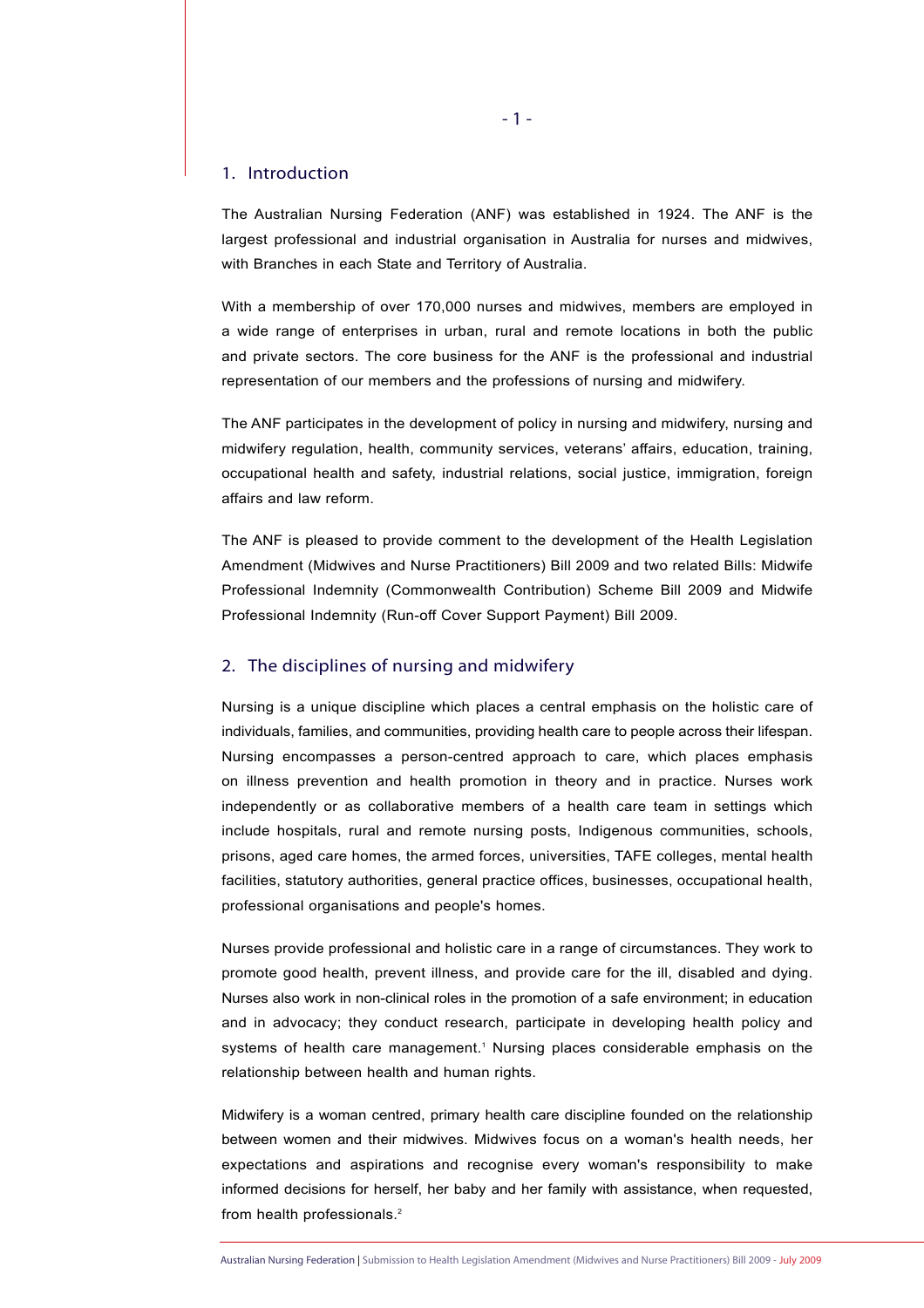#### 1. Introduction

The Australian Nursing Federation (ANF) was established in 1924. The ANF is the largest professional and industrial organisation in Australia for nurses and midwives, with Branches in each State and Territory of Australia.

With a membership of over 170,000 nurses and midwives, members are employed in a wide range of enterprises in urban, rural and remote locations in both the public and private sectors. The core business for the ANF is the professional and industrial representation of our members and the professions of nursing and midwifery.

The ANF participates in the development of policy in nursing and midwifery, nursing and midwifery regulation, health, community services, veterans' affairs, education, training, occupational health and safety, industrial relations, social justice, immigration, foreign affairs and law reform.

The ANF is pleased to provide comment to the development of the Health Legislation Amendment (Midwives and Nurse Practitioners) Bill 2009 and two related Bills: Midwife Professional Indemnity (Commonwealth Contribution) Scheme Bill 2009 and Midwife Professional Indemnity (Run-off Cover Support Payment) Bill 2009.

#### 2. The disciplines of nursing and midwifery

Nursing is a unique discipline which places a central emphasis on the holistic care of individuals, families, and communities, providing health care to people across their lifespan. Nursing encompasses a person-centred approach to care, which places emphasis on illness prevention and health promotion in theory and in practice. Nurses work independently or as collaborative members of a health care team in settings which include hospitals, rural and remote nursing posts, Indigenous communities, schools, prisons, aged care homes, the armed forces, universities, TAFE colleges, mental health facilities, statutory authorities, general practice offices, businesses, occupational health, professional organisations and people's homes.

Nurses provide professional and holistic care in a range of circumstances. They work to promote good health, prevent illness, and provide care for the ill, disabled and dying. Nurses also work in non-clinical roles in the promotion of a safe environment; in education and in advocacy; they conduct research, participate in developing health policy and systems of health care management.<sup>1</sup> Nursing places considerable emphasis on the relationship between health and human rights.

Midwifery is a woman centred, primary health care discipline founded on the relationship between women and their midwives. Midwives focus on a woman's health needs, her expectations and aspirations and recognise every woman's responsibility to make informed decisions for herself, her baby and her family with assistance, when requested, from health professionals.<sup>2</sup>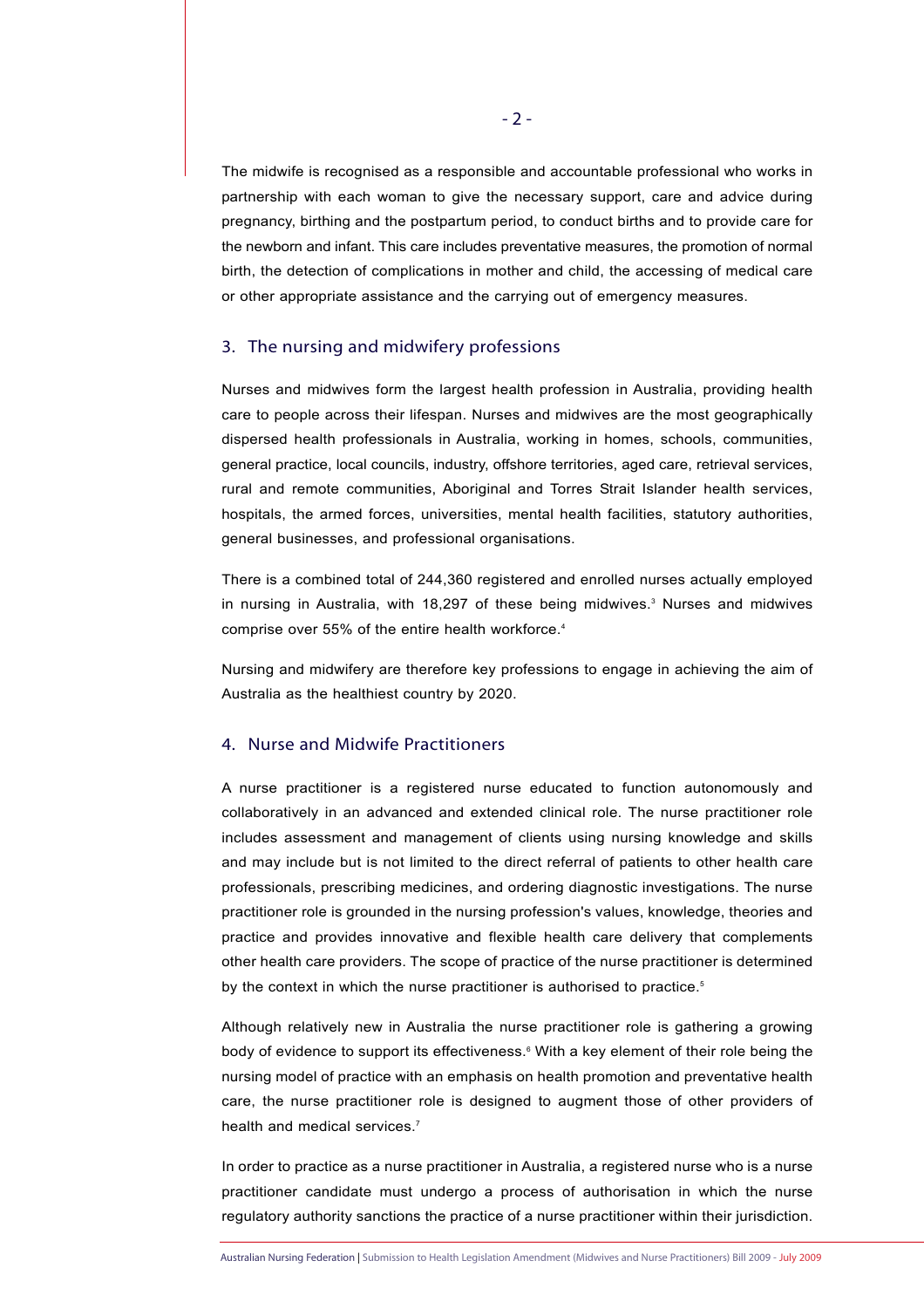The midwife is recognised as a responsible and accountable professional who works in partnership with each woman to give the necessary support, care and advice during pregnancy, birthing and the postpartum period, to conduct births and to provide care for the newborn and infant. This care includes preventative measures, the promotion of normal birth, the detection of complications in mother and child, the accessing of medical care or other appropriate assistance and the carrying out of emergency measures.

#### 3. The nursing and midwifery professions

Nurses and midwives form the largest health profession in Australia, providing health care to people across their lifespan. Nurses and midwives are the most geographically dispersed health professionals in Australia, working in homes, schools, communities, general practice, local councils, industry, offshore territories, aged care, retrieval services, rural and remote communities, Aboriginal and Torres Strait Islander health services, hospitals, the armed forces, universities, mental health facilities, statutory authorities, general businesses, and professional organisations.

There is a combined total of 244,360 registered and enrolled nurses actually employed in nursing in Australia, with  $18,297$  of these being midwives. $3$  Nurses and midwives comprise over 55% of the entire health workforce.<sup>4</sup>

Nursing and midwifery are therefore key professions to engage in achieving the aim of Australia as the healthiest country by 2020.

# 4. Nurse and Midwife Practitioners

A nurse practitioner is a registered nurse educated to function autonomously and collaboratively in an advanced and extended clinical role. The nurse practitioner role includes assessment and management of clients using nursing knowledge and skills and may include but is not limited to the direct referral of patients to other health care professionals, prescribing medicines, and ordering diagnostic investigations. The nurse practitioner role is grounded in the nursing profession's values, knowledge, theories and practice and provides innovative and flexible health care delivery that complements other health care providers. The scope of practice of the nurse practitioner is determined by the context in which the nurse practitioner is authorised to practice.<sup>5</sup>

Although relatively new in Australia the nurse practitioner role is gathering a growing body of evidence to support its effectiveness.<sup>6</sup> With a key element of their role being the nursing model of practice with an emphasis on health promotion and preventative health care, the nurse practitioner role is designed to augment those of other providers of health and medical services.<sup>7</sup>

In order to practice as a nurse practitioner in Australia, a registered nurse who is a nurse practitioner candidate must undergo a process of authorisation in which the nurse regulatory authority sanctions the practice of a nurse practitioner within their jurisdiction.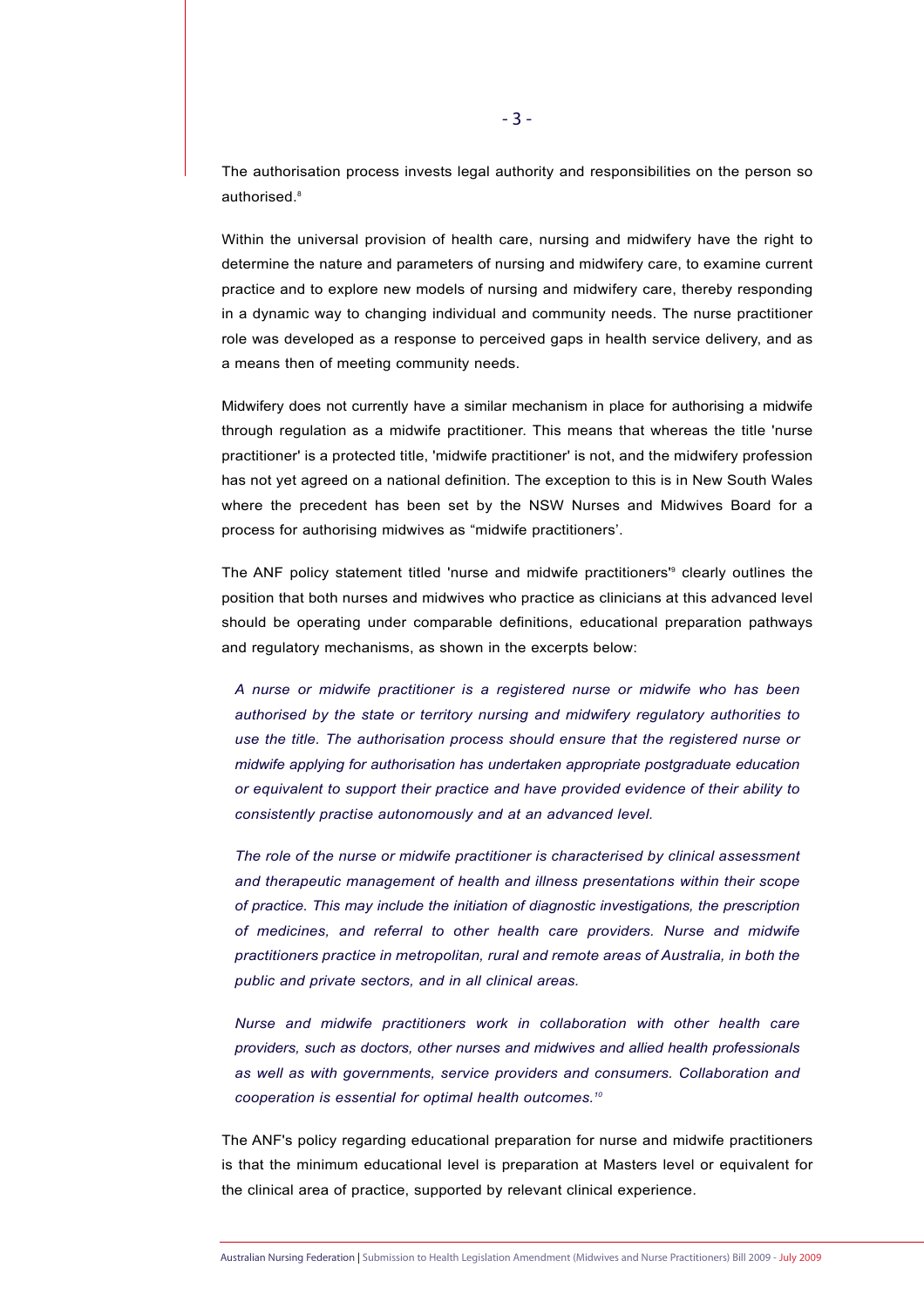The authorisation process invests legal authority and responsibilities on the person so authorised.<sup>8</sup>

Within the universal provision of health care, nursing and midwifery have the right to determine the nature and parameters of nursing and midwifery care, to examine current practice and to explore new models of nursing and midwifery care, thereby responding in a dynamic way to changing individual and community needs. The nurse practitioner role was developed as a response to perceived gaps in health service delivery, and as a means then of meeting community needs.

Midwifery does not currently have a similar mechanism in place for authorising a midwife through regulation as a midwife practitioner. This means that whereas the title 'nurse practitioner' is a protected title, 'midwife practitioner' is not, and the midwifery profession has not yet agreed on a national definition. The exception to this is in New South Wales where the precedent has been set by the NSW Nurses and Midwives Board for a process for authorising midwives as "midwife practitioners'.

The ANF policy statement titled 'nurse and midwife practitioners'<sup>9</sup> clearly outlines the position that both nurses and midwives who practice as clinicians at this advanced level should be operating under comparable definitions, educational preparation pathways and regulatory mechanisms, as shown in the excerpts below:

*A nurse or midwife practitioner is a registered nurse or midwife who has been authorised by the state or territory nursing and midwifery regulatory authorities to use the title. The authorisation process should ensure that the registered nurse or midwife applying for authorisation has undertaken appropriate postgraduate education or equivalent to support their practice and have provided evidence of their ability to consistently practise autonomously and at an advanced level.*

*The role of the nurse or midwife practitioner is characterised by clinical assessment and therapeutic management of health and illness presentations within their scope of practice. This may include the initiation of diagnostic investigations, the prescription of medicines, and referral to other health care providers. Nurse and midwife practitioners practice in metropolitan, rural and remote areas of Australia, in both the public and private sectors, and in all clinical areas.* 

*Nurse and midwife practitioners work in collaboration with other health care providers, such as doctors, other nurses and midwives and allied health professionals as well as with governments, service providers and consumers. Collaboration and cooperation is essential for optimal health outcomes.10*

The ANF's policy regarding educational preparation for nurse and midwife practitioners is that the minimum educational level is preparation at Masters level or equivalent for the clinical area of practice, supported by relevant clinical experience.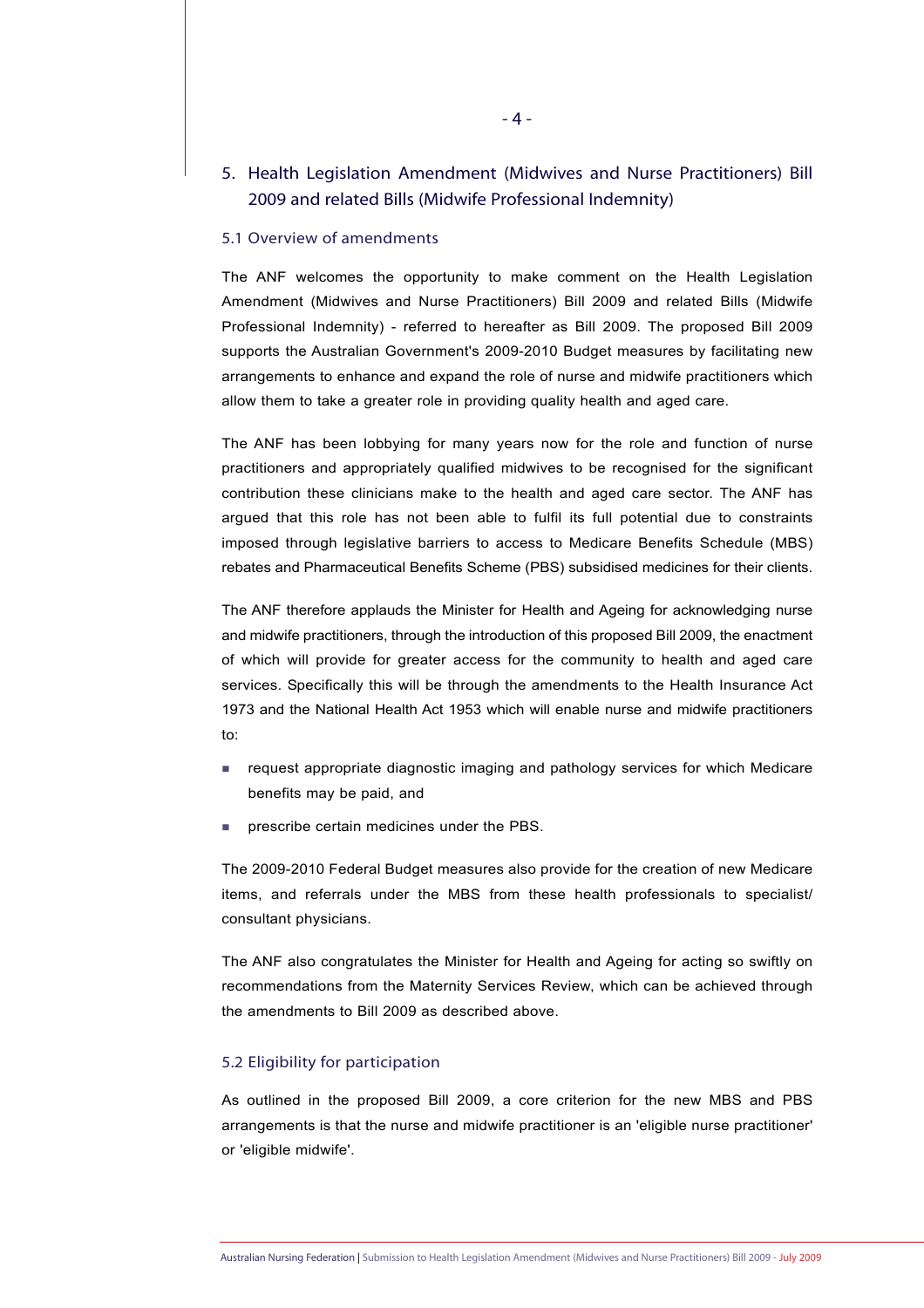# 5. Health Legislation Amendment (Midwives and Nurse Practitioners) Bill 2009 and related Bills (Midwife Professional Indemnity)

#### 5.1 Overview of amendments

The ANF welcomes the opportunity to make comment on the Health Legislation Amendment (Midwives and Nurse Practitioners) Bill 2009 and related Bills (Midwife Professional Indemnity) - referred to hereafter as Bill 2009. The proposed Bill 2009 supports the Australian Government's 2009-2010 Budget measures by facilitating new arrangements to enhance and expand the role of nurse and midwife practitioners which allow them to take a greater role in providing quality health and aged care.

The ANF has been lobbying for many years now for the role and function of nurse practitioners and appropriately qualified midwives to be recognised for the significant contribution these clinicians make to the health and aged care sector. The ANF has argued that this role has not been able to fulfil its full potential due to constraints imposed through legislative barriers to access to Medicare Benefits Schedule (MBS) rebates and Pharmaceutical Benefits Scheme (PBS) subsidised medicines for their clients.

The ANF therefore applauds the Minister for Health and Ageing for acknowledging nurse and midwife practitioners, through the introduction of this proposed Bill 2009, the enactment of which will provide for greater access for the community to health and aged care services. Specifically this will be through the amendments to the Health Insurance Act 1973 and the National Health Act 1953 which will enable nurse and midwife practitioners to:

- **request appropriate diagnostic imaging and pathology services for which Medicare** benefits may be paid, and
- **PERICIPE CERTAIN PERICIPES n** prescribe certain medicines under the PBS.

The 2009-2010 Federal Budget measures also provide for the creation of new Medicare items, and referrals under the MBS from these health professionals to specialist/ consultant physicians.

The ANF also congratulates the Minister for Health and Ageing for acting so swiftly on recommendations from the Maternity Services Review, which can be achieved through the amendments to Bill 2009 as described above.

### 5.2 Eligibility for participation

As outlined in the proposed Bill 2009, a core criterion for the new MBS and PBS arrangements is that the nurse and midwife practitioner is an 'eligible nurse practitioner' or 'eligible midwife'.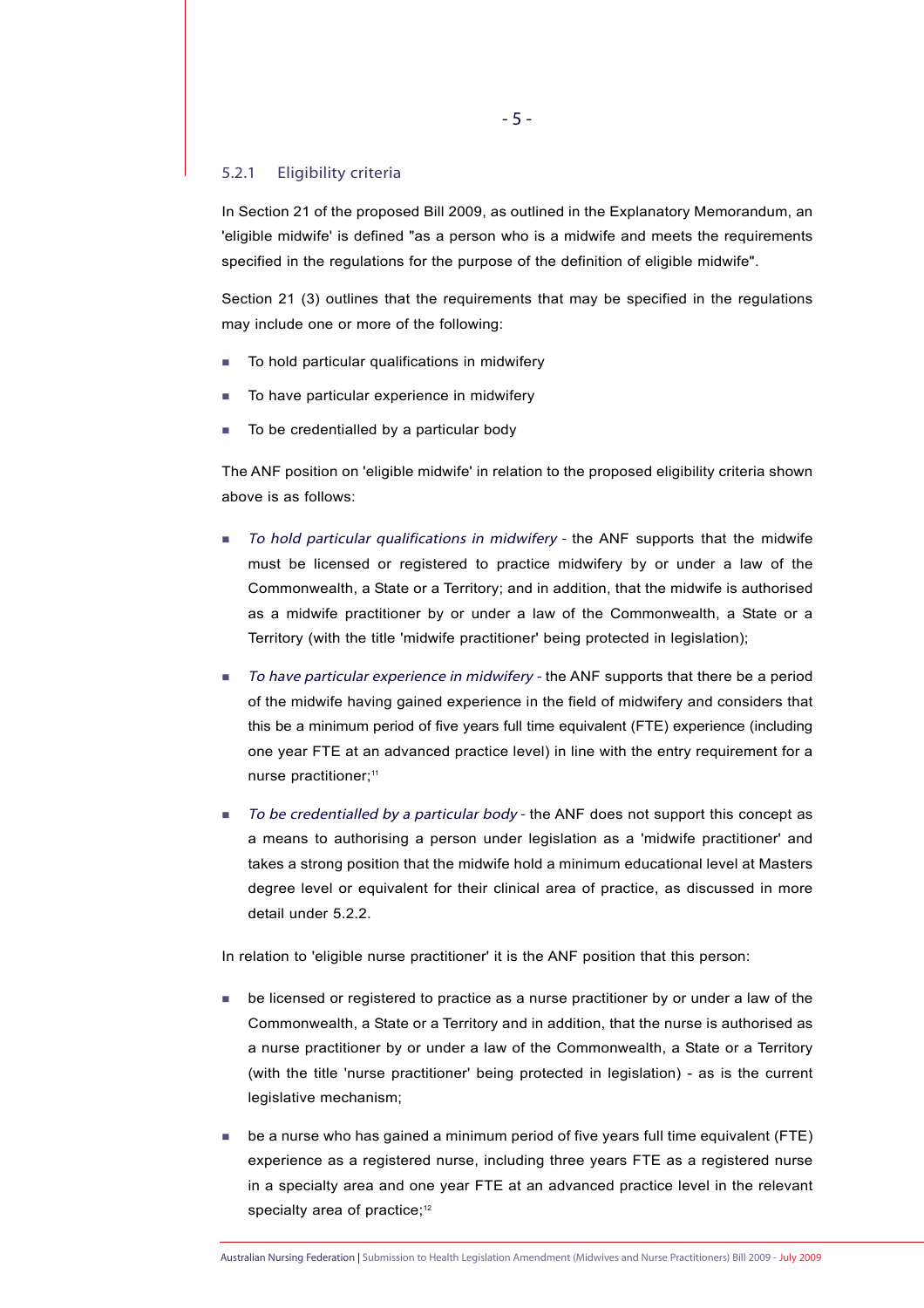#### 5.2.1 Eligibility criteria

In Section 21 of the proposed Bill 2009, as outlined in the Explanatory Memorandum, an 'eligible midwife' is defined "as a person who is a midwife and meets the requirements specified in the regulations for the purpose of the definition of eligible midwife".

Section 21 (3) outlines that the requirements that may be specified in the regulations may include one or more of the following:

- To hold particular qualifications in midwifery
- To have particular experience in midwifery
- To be credentialled by a particular body

The ANF position on 'eligible midwife' in relation to the proposed eligibility criteria shown above is as follows:

- To hold particular qualifications in midwifery the ANF supports that the midwife must be licensed or registered to practice midwifery by or under a law of the Commonwealth, a State or a Territory; and in addition, that the midwife is authorised as a midwife practitioner by or under a law of the Commonwealth, a State or a Territory (with the title 'midwife practitioner' being protected in legislation);
- To have particular experience in midwifery the ANF supports that there be a period of the midwife having gained experience in the field of midwifery and considers that this be a minimum period of five years full time equivalent (FTE) experience (including one year FTE at an advanced practice level) in line with the entry requirement for a nurse practitioner:<sup>11</sup>
- To be credentialled by a particular body the ANF does not support this concept as a means to authorising a person under legislation as a 'midwife practitioner' and takes a strong position that the midwife hold a minimum educational level at Masters degree level or equivalent for their clinical area of practice, as discussed in more detail under 5.2.2.

In relation to 'eligible nurse practitioner' it is the ANF position that this person:

- be licensed or registered to practice as a nurse practitioner by or under a law of the Commonwealth, a State or a Territory and in addition, that the nurse is authorised as a nurse practitioner by or under a law of the Commonwealth, a State or a Territory (with the title 'nurse practitioner' being protected in legislation) - as is the current legislative mechanism;
- be a nurse who has gained a minimum period of five years full time equivalent (FTE) experience as a registered nurse, including three years FTE as a registered nurse in a specialty area and one year FTE at an advanced practice level in the relevant specialty area of practice;<sup>12</sup>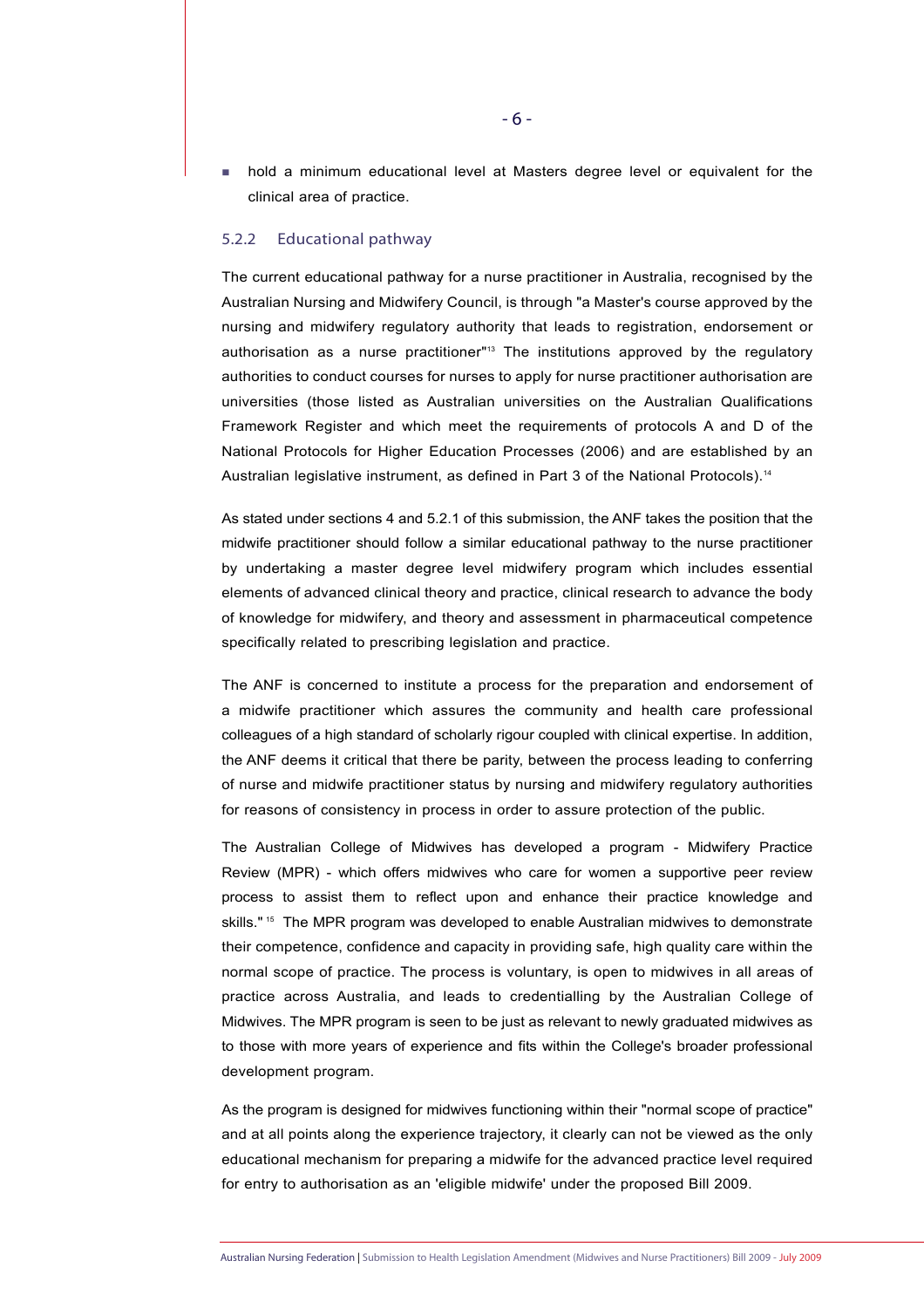hold a minimum educational level at Masters degree level or equivalent for the clinical area of practice.

#### 5.2.2 Educational pathway

The current educational pathway for a nurse practitioner in Australia, recognised by the Australian Nursing and Midwifery Council, is through "a Master's course approved by the nursing and midwifery regulatory authority that leads to registration, endorsement or authorisation as a nurse practitioner"13 The institutions approved by the regulatory authorities to conduct courses for nurses to apply for nurse practitioner authorisation are universities (those listed as Australian universities on the Australian Qualifications Framework Register and which meet the requirements of protocols A and D of the National Protocols for Higher Education Processes (2006) and are established by an Australian legislative instrument, as defined in Part 3 of the National Protocols).<sup>14</sup>

As stated under sections 4 and 5.2.1 of this submission, the ANF takes the position that the midwife practitioner should follow a similar educational pathway to the nurse practitioner by undertaking a master degree level midwifery program which includes essential elements of advanced clinical theory and practice, clinical research to advance the body of knowledge for midwifery, and theory and assessment in pharmaceutical competence specifically related to prescribing legislation and practice.

The ANF is concerned to institute a process for the preparation and endorsement of a midwife practitioner which assures the community and health care professional colleagues of a high standard of scholarly rigour coupled with clinical expertise. In addition, the ANF deems it critical that there be parity, between the process leading to conferring of nurse and midwife practitioner status by nursing and midwifery regulatory authorities for reasons of consistency in process in order to assure protection of the public.

The Australian College of Midwives has developed a program - Midwifery Practice Review (MPR) - which offers midwives who care for women a supportive peer review process to assist them to reflect upon and enhance their practice knowledge and skills."<sup>15</sup> The MPR program was developed to enable Australian midwives to demonstrate their competence, confidence and capacity in providing safe, high quality care within the normal scope of practice. The process is voluntary, is open to midwives in all areas of practice across Australia, and leads to credentialling by the Australian College of Midwives. The MPR program is seen to be just as relevant to newly graduated midwives as to those with more years of experience and fits within the College's broader professional development program.

As the program is designed for midwives functioning within their "normal scope of practice" and at all points along the experience trajectory, it clearly can not be viewed as the only educational mechanism for preparing a midwife for the advanced practice level required for entry to authorisation as an 'eligible midwife' under the proposed Bill 2009.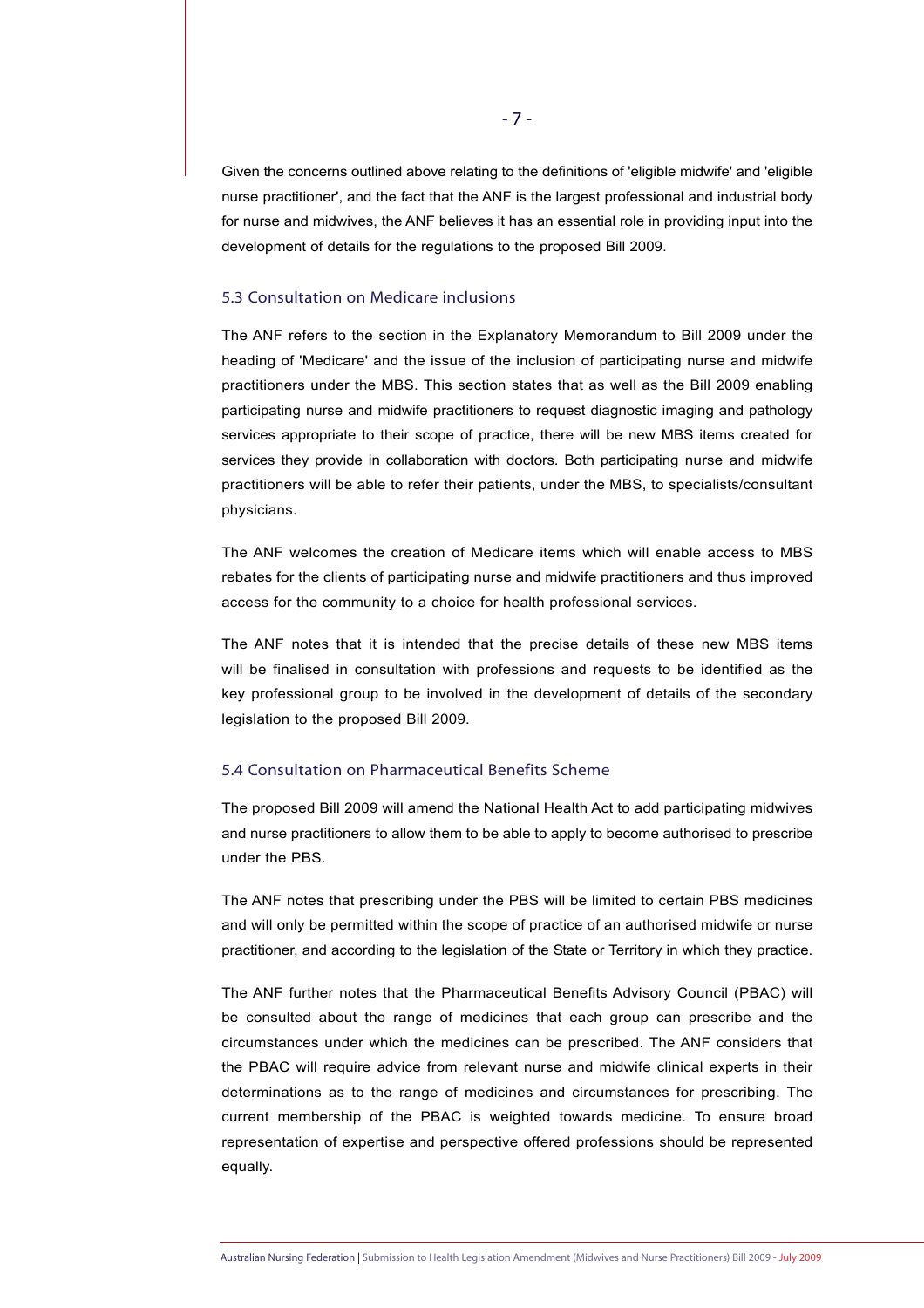Given the concerns outlined above relating to the definitions of 'eligible midwife' and 'eligible nurse practitioner', and the fact that the ANF is the largest professional and industrial body for nurse and midwives, the ANF believes it has an essential role in providing input into the development of details for the regulations to the proposed Bill 2009.

## 5.3 Consultation on Medicare inclusions

The ANF refers to the section in the Explanatory Memorandum to Bill 2009 under the heading of 'Medicare' and the issue of the inclusion of participating nurse and midwife practitioners under the MBS. This section states that as well as the Bill 2009 enabling participating nurse and midwife practitioners to request diagnostic imaging and pathology services appropriate to their scope of practice, there will be new MBS items created for services they provide in collaboration with doctors. Both participating nurse and midwife practitioners will be able to refer their patients, under the MBS, to specialists/consultant physicians.

The ANF welcomes the creation of Medicare items which will enable access to MBS rebates for the clients of participating nurse and midwife practitioners and thus improved access for the community to a choice for health professional services.

The ANF notes that it is intended that the precise details of these new MBS items will be finalised in consultation with professions and requests to be identified as the key professional group to be involved in the development of details of the secondary legislation to the proposed Bill 2009.

#### 5.4 Consultation on Pharmaceutical Benefits Scheme

The proposed Bill 2009 will amend the National Health Act to add participating midwives and nurse practitioners to allow them to be able to apply to become authorised to prescribe under the PBS.

The ANF notes that prescribing under the PBS will be limited to certain PBS medicines and will only be permitted within the scope of practice of an authorised midwife or nurse practitioner, and according to the legislation of the State or Territory in which they practice.

The ANF further notes that the Pharmaceutical Benefits Advisory Council (PBAC) will be consulted about the range of medicines that each group can prescribe and the circumstances under which the medicines can be prescribed. The ANF considers that the PBAC will require advice from relevant nurse and midwife clinical experts in their determinations as to the range of medicines and circumstances for prescribing. The current membership of the PBAC is weighted towards medicine. To ensure broad representation of expertise and perspective offered professions should be represented equally.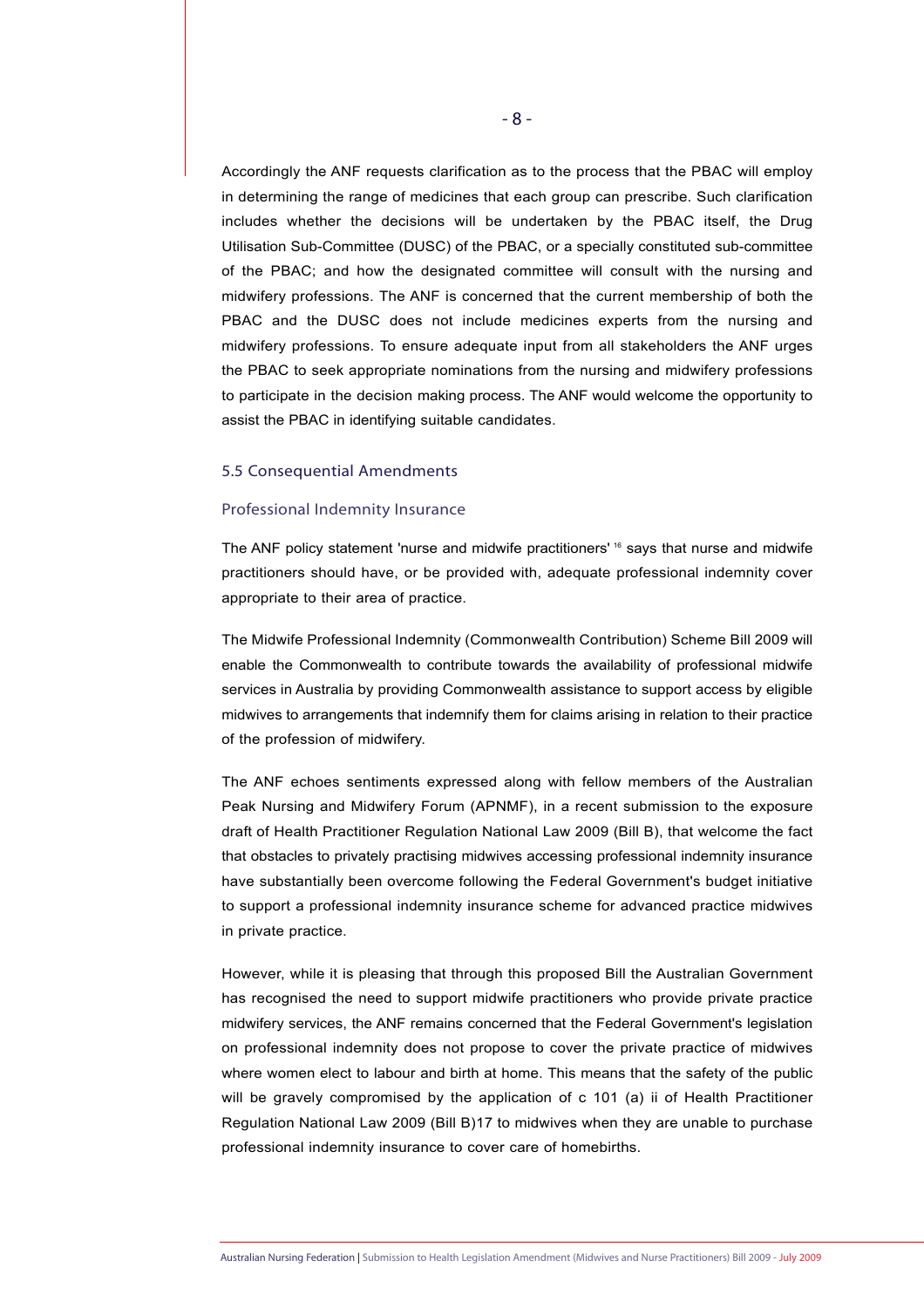Accordingly the ANF requests clarification as to the process that the PBAC will employ in determining the range of medicines that each group can prescribe. Such clarification includes whether the decisions will be undertaken by the PBAC itself, the Drug Utilisation Sub-Committee (DUSC) of the PBAC, or a specially constituted sub-committee of the PBAC; and how the designated committee will consult with the nursing and midwifery professions. The ANF is concerned that the current membership of both the PBAC and the DUSC does not include medicines experts from the nursing and midwifery professions. To ensure adequate input from all stakeholders the ANF urges the PBAC to seek appropriate nominations from the nursing and midwifery professions to participate in the decision making process. The ANF would welcome the opportunity to assist the PBAC in identifying suitable candidates.

#### 5.5 Consequential Amendments

#### Professional Indemnity Insurance

The ANF policy statement 'nurse and midwife practitioners' <sup>16</sup> says that nurse and midwife practitioners should have, or be provided with, adequate professional indemnity cover appropriate to their area of practice.

The Midwife Professional Indemnity (Commonwealth Contribution) Scheme Bill 2009 will enable the Commonwealth to contribute towards the availability of professional midwife services in Australia by providing Commonwealth assistance to support access by eligible midwives to arrangements that indemnify them for claims arising in relation to their practice of the profession of midwifery.

The ANF echoes sentiments expressed along with fellow members of the Australian Peak Nursing and Midwifery Forum (APNMF), in a recent submission to the exposure draft of Health Practitioner Regulation National Law 2009 (Bill B), that welcome the fact that obstacles to privately practising midwives accessing professional indemnity insurance have substantially been overcome following the Federal Government's budget initiative to support a professional indemnity insurance scheme for advanced practice midwives in private practice.

However, while it is pleasing that through this proposed Bill the Australian Government has recognised the need to support midwife practitioners who provide private practice midwifery services, the ANF remains concerned that the Federal Government's legislation on professional indemnity does not propose to cover the private practice of midwives where women elect to labour and birth at home. This means that the safety of the public will be gravely compromised by the application of c 101 (a) ii of Health Practitioner Regulation National Law 2009 (Bill B)17 to midwives when they are unable to purchase professional indemnity insurance to cover care of homebirths.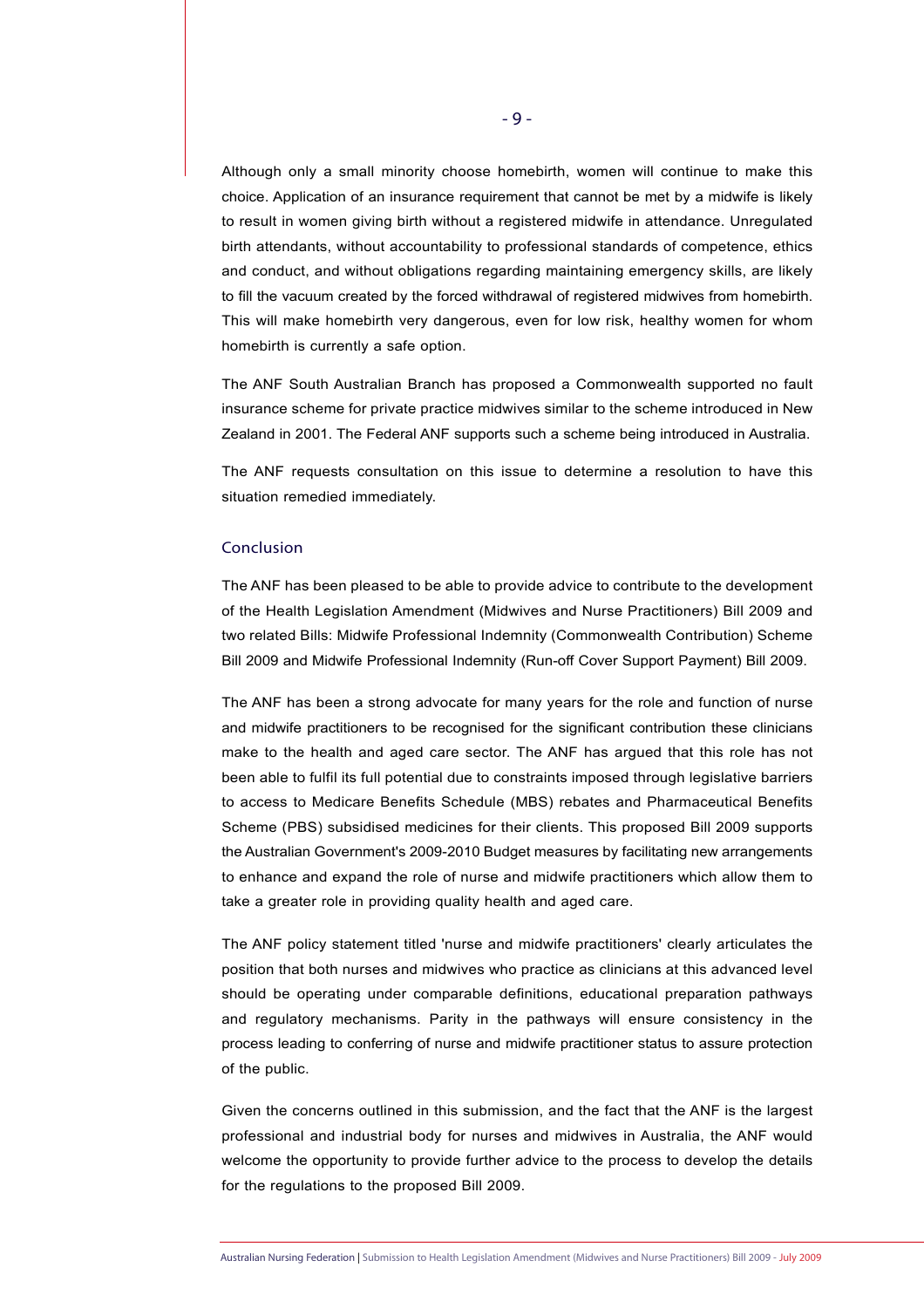Although only a small minority choose homebirth, women will continue to make this choice. Application of an insurance requirement that cannot be met by a midwife is likely to result in women giving birth without a registered midwife in attendance. Unregulated birth attendants, without accountability to professional standards of competence, ethics and conduct, and without obligations regarding maintaining emergency skills, are likely to fill the vacuum created by the forced withdrawal of registered midwives from homebirth. This will make homebirth very dangerous, even for low risk, healthy women for whom homebirth is currently a safe option.

The ANF South Australian Branch has proposed a Commonwealth supported no fault insurance scheme for private practice midwives similar to the scheme introduced in New Zealand in 2001. The Federal ANF supports such a scheme being introduced in Australia.

The ANF requests consultation on this issue to determine a resolution to have this situation remedied immediately.

#### Conclusion

The ANF has been pleased to be able to provide advice to contribute to the development of the Health Legislation Amendment (Midwives and Nurse Practitioners) Bill 2009 and two related Bills: Midwife Professional Indemnity (Commonwealth Contribution) Scheme Bill 2009 and Midwife Professional Indemnity (Run-off Cover Support Payment) Bill 2009.

The ANF has been a strong advocate for many years for the role and function of nurse and midwife practitioners to be recognised for the significant contribution these clinicians make to the health and aged care sector. The ANF has argued that this role has not been able to fulfil its full potential due to constraints imposed through legislative barriers to access to Medicare Benefits Schedule (MBS) rebates and Pharmaceutical Benefits Scheme (PBS) subsidised medicines for their clients. This proposed Bill 2009 supports the Australian Government's 2009-2010 Budget measures by facilitating new arrangements to enhance and expand the role of nurse and midwife practitioners which allow them to take a greater role in providing quality health and aged care.

The ANF policy statement titled 'nurse and midwife practitioners' clearly articulates the position that both nurses and midwives who practice as clinicians at this advanced level should be operating under comparable definitions, educational preparation pathways and regulatory mechanisms. Parity in the pathways will ensure consistency in the process leading to conferring of nurse and midwife practitioner status to assure protection of the public.

Given the concerns outlined in this submission, and the fact that the ANF is the largest professional and industrial body for nurses and midwives in Australia, the ANF would welcome the opportunity to provide further advice to the process to develop the details for the regulations to the proposed Bill 2009.